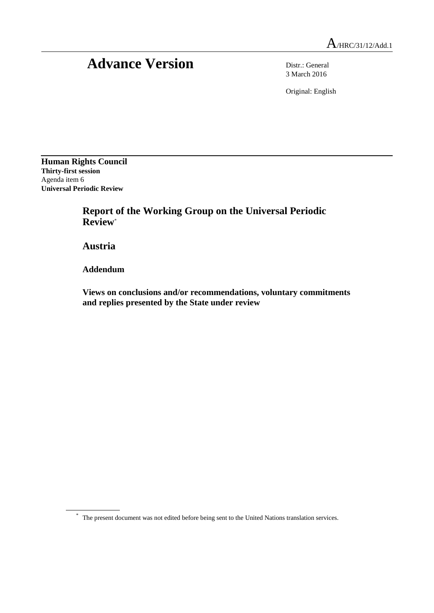# Advance Version Distr.: General

3 March 2016

Original: English

**Human Rights Council Thirty-first session** Agenda item 6 **Universal Periodic Review**

> **Report of the Working Group on the Universal Periodic Review**\*

**Austria**

**Addendum**

**Views on conclusions and/or recommendations, voluntary commitments and replies presented by the State under review**

\* The present document was not edited before being sent to the United Nations translation services.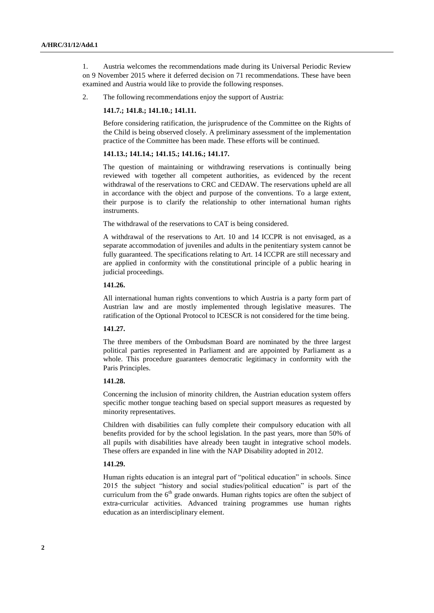1. Austria welcomes the recommendations made during its Universal Periodic Review on 9 November 2015 where it deferred decision on 71 recommendations. These have been examined and Austria would like to provide the following responses.

2. The following recommendations enjoy the support of Austria:

#### **141.7.; 141.8.; 141.10.; 141.11.**

Before considering ratification, the jurisprudence of the Committee on the Rights of the Child is being observed closely. A preliminary assessment of the implementation practice of the Committee has been made. These efforts will be continued.

#### **141.13.; 141.14.; 141.15.; 141.16.; 141.17.**

The question of maintaining or withdrawing reservations is continually being reviewed with together all competent authorities, as evidenced by the recent withdrawal of the reservations to CRC and CEDAW. The reservations upheld are all in accordance with the object and purpose of the conventions. To a large extent, their purpose is to clarify the relationship to other international human rights instruments.

The withdrawal of the reservations to CAT is being considered.

A withdrawal of the reservations to Art. 10 and 14 ICCPR is not envisaged, as a separate accommodation of juveniles and adults in the penitentiary system cannot be fully guaranteed. The specifications relating to Art. 14 ICCPR are still necessary and are applied in conformity with the constitutional principle of a public hearing in judicial proceedings.

#### **141.26.**

All international human rights conventions to which Austria is a party form part of Austrian law and are mostly implemented through legislative measures. The ratification of the Optional Protocol to ICESCR is not considered for the time being.

#### **141.27.**

The three members of the Ombudsman Board are nominated by the three largest political parties represented in Parliament and are appointed by Parliament as a whole. This procedure guarantees democratic legitimacy in conformity with the Paris Principles.

## **141.28.**

Concerning the inclusion of minority children, the Austrian education system offers specific mother tongue teaching based on special support measures as requested by minority representatives.

Children with disabilities can fully complete their compulsory education with all benefits provided for by the school legislation. In the past years, more than 50% of all pupils with disabilities have already been taught in integrative school models. These offers are expanded in line with the NAP Disability adopted in 2012.

#### **141.29.**

Human rights education is an integral part of "political education" in schools. Since 2015 the subject "history and social studies/political education" is part of the curriculum from the  $6<sup>th</sup>$  grade onwards. Human rights topics are often the subject of extra-curricular activities. Advanced training programmes use human rights education as an interdisciplinary element.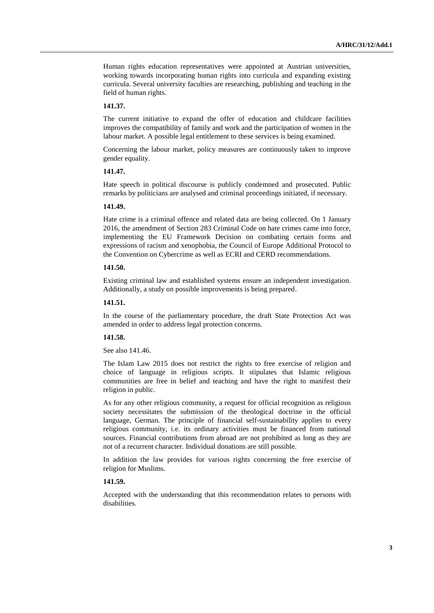Human rights education representatives were appointed at Austrian universities, working towards incorporating human rights into curricula and expanding existing curricula. Several university faculties are researching, publishing and teaching in the field of human rights.

### **141.37.**

The current initiative to expand the offer of education and childcare facilities improves the compatibility of family and work and the participation of women in the labour market. A possible legal entitlement to these services is being examined.

Concerning the labour market, policy measures are continuously taken to improve gender equality.

# **141.47.**

Hate speech in political discourse is publicly condemned and prosecuted. Public remarks by politicians are analysed and criminal proceedings initiated, if necessary.

### **141.49.**

Hate crime is a criminal offence and related data are being collected. On 1 January 2016, the amendment of Section 283 Criminal Code on hate crimes came into force, implementing the EU Framework Decision on combating certain forms and expressions of racism and xenophobia, the Council of Europe Additional Protocol to the Convention on Cybercrime as well as ECRI and CERD recommendations.

## **141.50.**

Existing criminal law and established systems ensure an independent investigation. Additionally, a study on possible improvements is being prepared.

### **141.51.**

In the course of the parliamentary procedure, the draft State Protection Act was amended in order to address legal protection concerns.

## **141.58.**

See also 141.46.

The Islam Law 2015 does not restrict the rights to free exercise of religion and choice of language in religious scripts. It stipulates that Islamic religious communities are free in belief and teaching and have the right to manifest their religion in public.

As for any other religious community, a request for official recognition as religious society necessitates the submission of the theological doctrine in the official language, German. The principle of financial self-sustainability applies to every religious community, i.e. its ordinary activities must be financed from national sources. Financial contributions from abroad are not prohibited as long as they are not of a recurrent character. Individual donations are still possible.

In addition the law provides for various rights concerning the free exercise of religion for Muslims.

### **141.59.**

Accepted with the understanding that this recommendation relates to persons with disabilities.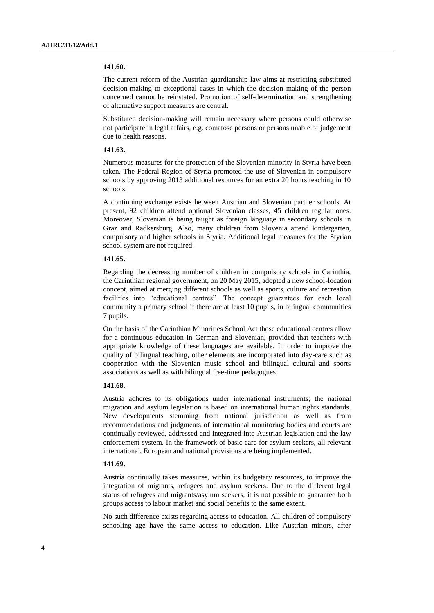#### **141.60.**

The current reform of the Austrian guardianship law aims at restricting substituted decision-making to exceptional cases in which the decision making of the person concerned cannot be reinstated. Promotion of self-determination and strengthening of alternative support measures are central.

Substituted decision-making will remain necessary where persons could otherwise not participate in legal affairs, e.g. comatose persons or persons unable of judgement due to health reasons.

# **141.63.**

Numerous measures for the protection of the Slovenian minority in Styria have been taken. The Federal Region of Styria promoted the use of Slovenian in compulsory schools by approving 2013 additional resources for an extra 20 hours teaching in 10 schools.

A continuing exchange exists between Austrian and Slovenian partner schools. At present, 92 children attend optional Slovenian classes, 45 children regular ones. Moreover, Slovenian is being taught as foreign language in secondary schools in Graz and Radkersburg. Also, many children from Slovenia attend kindergarten, compulsory and higher schools in Styria. Additional legal measures for the Styrian school system are not required.

### **141.65.**

Regarding the decreasing number of children in compulsory schools in Carinthia, the Carinthian regional government, on 20 May 2015, adopted a new school-location concept, aimed at merging different schools as well as sports, culture and recreation facilities into "educational centres". The concept guarantees for each local community a primary school if there are at least 10 pupils, in bilingual communities 7 pupils.

On the basis of the Carinthian Minorities School Act those educational centres allow for a continuous education in German and Slovenian, provided that teachers with appropriate knowledge of these languages are available. In order to improve the quality of bilingual teaching, other elements are incorporated into day-care such as cooperation with the Slovenian music school and bilingual cultural and sports associations as well as with bilingual free-time pedagogues.

#### **141.68.**

Austria adheres to its obligations under international instruments; the national migration and asylum legislation is based on international human rights standards. New developments stemming from national jurisdiction as well as from recommendations and judgments of international monitoring bodies and courts are continually reviewed, addressed and integrated into Austrian legislation and the law enforcement system. In the framework of basic care for asylum seekers, all relevant international, European and national provisions are being implemented.

#### **141.69.**

Austria continually takes measures, within its budgetary resources, to improve the integration of migrants, refugees and asylum seekers. Due to the different legal status of refugees and migrants/asylum seekers, it is not possible to guarantee both groups access to labour market and social benefits to the same extent.

No such difference exists regarding access to education. All children of compulsory schooling age have the same access to education. Like Austrian minors, after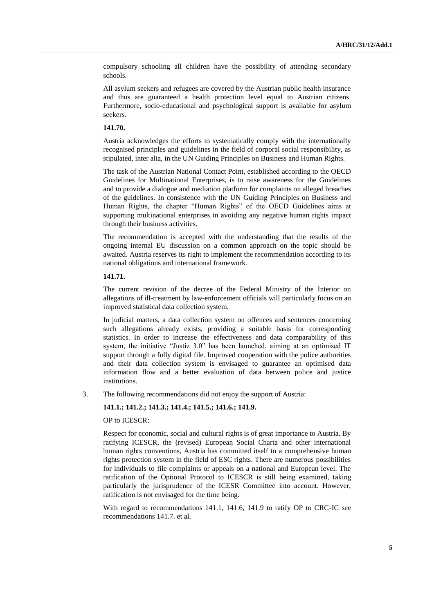compulsory schooling all children have the possibility of attending secondary schools.

All asylum seekers and refugees are covered by the Austrian public health insurance and thus are guaranteed a health protection level equal to Austrian citizens. Furthermore, socio-educational and psychological support is available for asylum seekers.

## **141.70.**

Austria acknowledges the efforts to systematically comply with the internationally recognised principles and guidelines in the field of corporal social responsibility, as stipulated, inter alia, in the UN Guiding Principles on Business and Human Rights.

The task of the Austrian National Contact Point, established according to the OECD Guidelines for Multinational Enterprises, is to raise awareness for the Guidelines and to provide a dialogue and mediation platform for complaints on alleged breaches of the guidelines. In consistence with the UN Guiding Principles on Business and Human Rights, the chapter "Human Rights" of the OECD Guidelines aims at supporting multinational enterprises in avoiding any negative human rights impact through their business activities.

The recommendation is accepted with the understanding that the results of the ongoing internal EU discussion on a common approach on the topic should be awaited. Austria reserves its right to implement the recommendation according to its national obligations and international framework.

#### **141.71.**

The current revision of the decree of the Federal Ministry of the Interior on allegations of ill-treatment by law-enforcement officials will particularly focus on an improved statistical data collection system.

In judicial matters, a data collection system on offences and sentences concerning such allegations already exists, providing a suitable basis for corresponding statistics. In order to increase the effectiveness and data comparability of this system, the initiative "Justiz 3.0" has been launched, aiming at an optimised IT support through a fully digital file. Improved cooperation with the police authorities and their data collection system is envisaged to guarantee an optimised data information flow and a better evaluation of data between police and justice institutions.

3. The following recommendations did not enjoy the support of Austria:

# **141.1.; 141.2.; 141.3.; 141.4.; 141.5.; 141.6.; 141.9.**

## OP to ICESCR:

Respect for economic, social and cultural rights is of great importance to Austria. By ratifying ICESCR, the (revised) European Social Charta and other international human rights conventions, Austria has committed itself to a comprehensive human rights protection system in the field of ESC rights. There are numerous possibilities for individuals to file complaints or appeals on a national and European level. The ratification of the Optional Protocol to ICESCR is still being examined, taking particularly the jurisprudence of the ICESR Committee into account. However, ratification is not envisaged for the time being.

With regard to recommendations 141.1, 141.6, 141.9 to ratify OP to CRC-IC see recommendations 141.7. et al.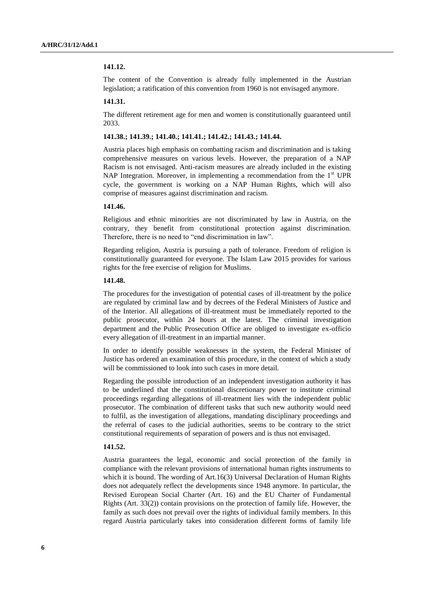## **141.12.**

The content of the Convention is already fully implemented in the Austrian legislation; a ratification of this convention from 1960 is not envisaged anymore.

# **141.31.**

The different retirement age for men and women is constitutionally guaranteed until 2033.

#### **141.38.; 141.39.; 141.40.; 141.41.; 141.42.; 141.43.; 141.44.**

Austria places high emphasis on combatting racism and discrimination and is taking comprehensive measures on various levels. However, the preparation of a NAP Racism is not envisaged. Anti-racism measures are already included in the existing NAP Integration. Moreover, in implementing a recommendation from the  $1<sup>st</sup>$  UPR cycle, the government is working on a NAP Human Rights, which will also comprise of measures against discrimination and racism.

## **141.46.**

Religious and ethnic minorities are not discriminated by law in Austria, on the contrary, they benefit from constitutional protection against discrimination. Therefore, there is no need to "end discrimination in law".

Regarding religion, Austria is pursuing a path of tolerance. Freedom of religion is constitutionally guaranteed for everyone. The Islam Law 2015 provides for various rights for the free exercise of religion for Muslims.

### **141.48.**

The procedures for the investigation of potential cases of ill-treatment by the police are regulated by criminal law and by decrees of the Federal Ministers of Justice and of the Interior. All allegations of ill-treatment must be immediately reported to the public prosecutor, within 24 hours at the latest. The criminal investigation department and the Public Prosecution Office are obliged to investigate ex-officio every allegation of ill-treatment in an impartial manner.

In order to identify possible weaknesses in the system, the Federal Minister of Justice has ordered an examination of this procedure, in the context of which a study will be commissioned to look into such cases in more detail.

Regarding the possible introduction of an independent investigation authority it has to be underlined that the constitutional discretionary power to institute criminal proceedings regarding allegations of ill-treatment lies with the independent public prosecutor. The combination of different tasks that such new authority would need to fulfil, as the investigation of allegations, mandating disciplinary proceedings and the referral of cases to the judicial authorities, seems to be contrary to the strict constitutional requirements of separation of powers and is thus not envisaged.

## **141.52.**

Austria guarantees the legal, economic and social protection of the family in compliance with the relevant provisions of international human rights instruments to which it is bound. The wording of Art.16(3) Universal Declaration of Human Rights does not adequately reflect the developments since 1948 anymore. In particular, the Revised European Social Charter (Art. 16) and the EU Charter of Fundamental Rights (Art. 33(2)) contain provisions on the protection of family life. However, the family as such does not prevail over the rights of individual family members. In this regard Austria particularly takes into consideration different forms of family life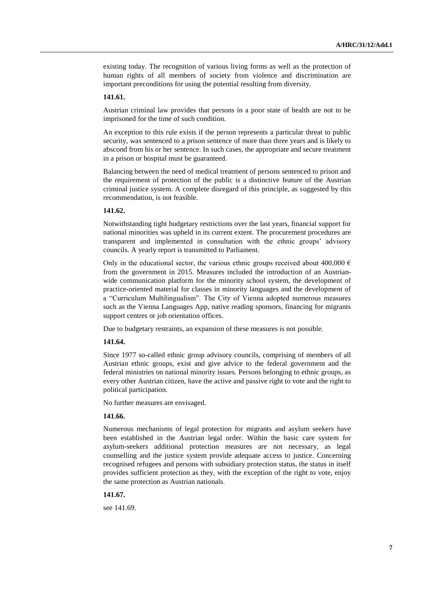existing today. The recognition of various living forms as well as the protection of human rights of all members of society from violence and discrimination are important preconditions for using the potential resulting from diversity.

#### **141.61.**

Austrian criminal law provides that persons in a poor state of health are not to be imprisoned for the time of such condition.

An exception to this rule exists if the person represents a particular threat to public security, was sentenced to a prison sentence of more than three years and is likely to abscond from his or her sentence. In such cases, the appropriate and secure treatment in a prison or hospital must be guaranteed.

Balancing between the need of medical treatment of persons sentenced to prison and the requirement of protection of the public is a distinctive feature of the Austrian criminal justice system. A complete disregard of this principle, as suggested by this recommendation, is not feasible.

# **141.62.**

Notwithstanding tight budgetary restrictions over the last years, financial support for national minorities was upheld in its current extent. The procurement procedures are transparent and implemented in consultation with the ethnic groups' advisory councils. A yearly report is transmitted to Parliament.

Only in the educational sector, the various ethnic groups received about 400,000  $\epsilon$ from the government in 2015. Measures included the introduction of an Austrianwide communication platform for the minority school system, the development of practice-oriented material for classes in minority languages and the development of a "Curriculum Multilingualism". The City of Vienna adopted numerous measures such as the Vienna Languages App, native reading sponsors, financing for migrants support centres or job orientation offices.

Due to budgetary restraints, an expansion of these measures is not possible.

#### **141.64.**

Since 1977 so-called ethnic group advisory councils, comprising of members of all Austrian ethnic groups, exist and give advice to the federal government and the federal ministries on national minority issues. Persons belonging to ethnic groups, as every other Austrian citizen, have the active and passive right to vote and the right to political participation.

No further measures are envisaged.

#### **141.66.**

Numerous mechanisms of legal protection for migrants and asylum seekers have been established in the Austrian legal order. Within the basic care system for asylum-seekers additional protection measures are not necessary, as legal counselling and the justice system provide adequate access to justice. Concerning recognised refugees and persons with subsidiary protection status, the status in itself provides sufficient protection as they, with the exception of the right to vote, enjoy the same protection as Austrian nationals.

### **141.67.**

see 141.69.